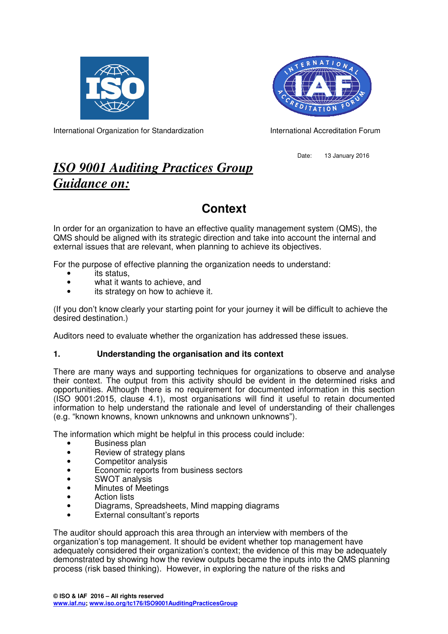



International Organization for Standardization International Accreditation Forum

Date: 13 January 2016

# *ISO 9001 Auditing Practices Group Guidance on:*

# **Context**

In order for an organization to have an effective quality management system (QMS), the QMS should be aligned with its strategic direction and take into account the internal and external issues that are relevant, when planning to achieve its objectives.

For the purpose of effective planning the organization needs to understand:

- its status.
- what it wants to achieve, and
- its strategy on how to achieve it.

(If you don't know clearly your starting point for your journey it will be difficult to achieve the desired destination.)

Auditors need to evaluate whether the organization has addressed these issues.

## **1. Understanding the organisation and its context**

There are many ways and supporting techniques for organizations to observe and analyse their context. The output from this activity should be evident in the determined risks and opportunities. Although there is no requirement for documented information in this section (ISO 9001:2015, clause 4.1), most organisations will find it useful to retain documented information to help understand the rationale and level of understanding of their challenges (e.g. "known knowns, known unknowns and unknown unknowns").

The information which might be helpful in this process could include:

- Business plan
- Review of strategy plans
- Competitor analysis
- Economic reports from business sectors
- SWOT analysis
- Minutes of Meetings
- Action lists
- Diagrams, Spreadsheets, Mind mapping diagrams
- External consultant's reports

The auditor should approach this area through an interview with members of the organization's top management. It should be evident whether top management have adequately considered their organization's context; the evidence of this may be adequately demonstrated by showing how the review outputs became the inputs into the QMS planning process (risk based thinking). However, in exploring the nature of the risks and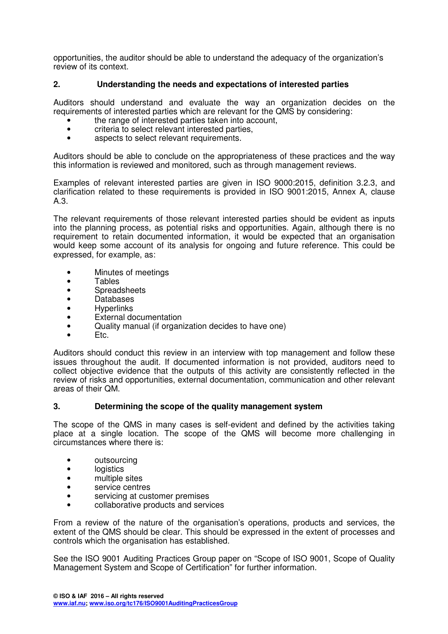opportunities, the auditor should be able to understand the adequacy of the organization's review of its context.

### **2. Understanding the needs and expectations of interested parties**

Auditors should understand and evaluate the way an organization decides on the requirements of interested parties which are relevant for the QMS by considering:

- the range of interested parties taken into account.
- criteria to select relevant interested parties,
- aspects to select relevant requirements.

Auditors should be able to conclude on the appropriateness of these practices and the way this information is reviewed and monitored, such as through management reviews.

Examples of relevant interested parties are given in ISO 9000:2015, definition 3.2.3, and clarification related to these requirements is provided in ISO 9001:2015, Annex A, clause A.3.

The relevant requirements of those relevant interested parties should be evident as inputs into the planning process, as potential risks and opportunities. Again, although there is no requirement to retain documented information, it would be expected that an organisation would keep some account of its analysis for ongoing and future reference. This could be expressed, for example, as:

- Minutes of meetings
- Tables
- Spreadsheets
- Databases
- **Hyperlinks**
- **External documentation**
- Quality manual (if organization decides to have one)
- Etc.

Auditors should conduct this review in an interview with top management and follow these issues throughout the audit. If documented information is not provided, auditors need to collect objective evidence that the outputs of this activity are consistently reflected in the review of risks and opportunities, external documentation, communication and other relevant areas of their QM.

#### **3. Determining the scope of the quality management system**

The scope of the QMS in many cases is self-evident and defined by the activities taking place at a single location. The scope of the QMS will become more challenging in circumstances where there is:

- outsourcing
- logistics
- multiple sites
- service centres
- servicing at customer premises
- collaborative products and services

From a review of the nature of the organisation's operations, products and services, the extent of the QMS should be clear. This should be expressed in the extent of processes and controls which the organisation has established.

See the ISO 9001 Auditing Practices Group paper on "Scope of ISO 9001, Scope of Quality Management System and Scope of Certification" for further information.